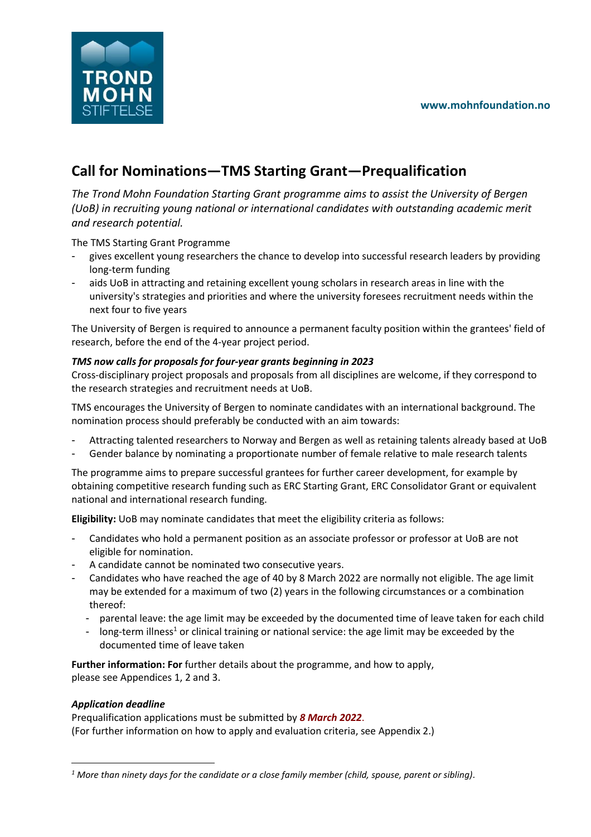### **www.mohnfoundation.no**



# **Call for Nominations—TMS Starting Grant—Prequalification**

*The Trond Mohn Foundation Starting Grant programme aims to assist the University of Bergen (UoB) in recruiting young national or international candidates with outstanding academic merit and research potential.*

The TMS Starting Grant Programme

- gives excellent young researchers the chance to develop into successful research leaders by providing long-term funding
- aids UoB in attracting and retaining excellent young scholars in research areas in line with the university's strategies and priorities and where the university foresees recruitment needs within the next four to five years

The University of Bergen is required to announce a permanent faculty position within the grantees' field of research, before the end of the 4-year project period.

### *TMS now calls for proposals for four-year grants beginning in 2023*

Cross-disciplinary project proposals and proposals from all disciplines are welcome, if they correspond to the research strategies and recruitment needs at UoB.

TMS encourages the University of Bergen to nominate candidates with an international background. The nomination process should preferably be conducted with an aim towards:

- Attracting talented researchers to Norway and Bergen as well as retaining talents already based at UoB
- Gender balance by nominating a proportionate number of female relative to male research talents

The programme aims to prepare successful grantees for further career development, for example by obtaining competitive research funding such as ERC Starting Grant, ERC Consolidator Grant or equivalent national and international research funding.

**Eligibility:** UoB may nominate candidates that meet the eligibility criteria as follows:

- Candidates who hold a permanent position as an associate professor or professor at UoB are not eligible for nomination.
- A candidate cannot be nominated two consecutive years.
- Candidates who have reached the age of 40 by 8 March 2022 are normally not eligible. The age limit may be extended for a maximum of two (2) years in the following circumstances or a combination thereof:
	- parental leave: the age limit may be exceeded by the documented time of leave taken for each child
	- long-term illness<sup>1</sup> or clinical training or national service: the age limit may be exceeded by the documented time of leave taken

**Further information: For** further details about the programme, and how to apply, please see Appendices 1, 2 and 3.

#### *Application deadline*

Prequalification applications must be submitted by *8 March 2022*. (For further information on how to apply and evaluation criteria, see Appendix 2.)

*<sup>1</sup> More than ninety days for the candidate or a close family member (child, spouse, parent or sibling).*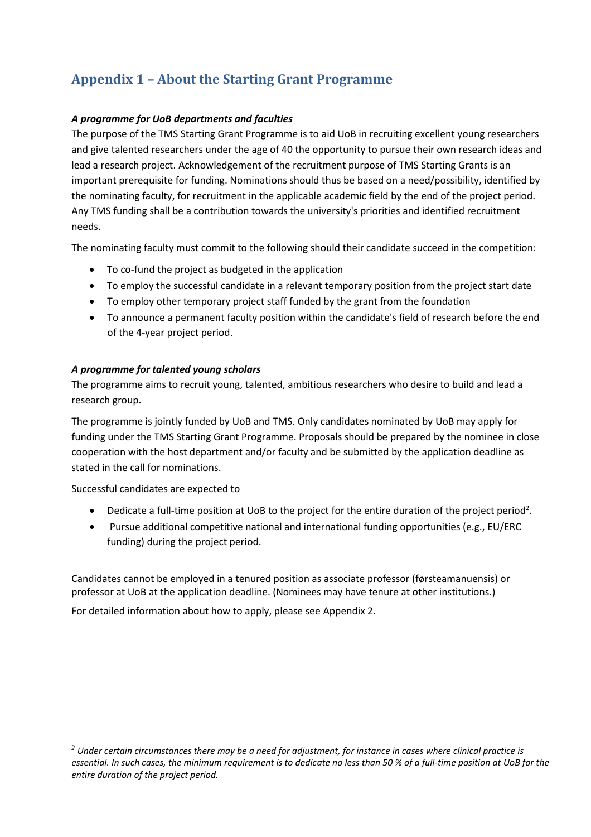# **Appendix 1 – About the Starting Grant Programme**

### *A programme for UoB departments and faculties*

The purpose of the TMS Starting Grant Programme is to aid UoB in recruiting excellent young researchers and give talented researchers under the age of 40 the opportunity to pursue their own research ideas and lead a research project. Acknowledgement of the recruitment purpose of TMS Starting Grants is an important prerequisite for funding. Nominations should thus be based on a need/possibility, identified by the nominating faculty, for recruitment in the applicable academic field by the end of the project period. Any TMS funding shall be a contribution towards the university's priorities and identified recruitment needs.

The nominating faculty must commit to the following should their candidate succeed in the competition:

- To co-fund the project as budgeted in the application
- To employ the successful candidate in a relevant temporary position from the project start date
- To employ other temporary project staff funded by the grant from the foundation
- To announce a permanent faculty position within the candidate's field of research before the end of the 4-year project period.

#### *A programme for talented young scholars*

The programme aims to recruit young, talented, ambitious researchers who desire to build and lead a research group.

The programme is jointly funded by UoB and TMS. Only candidates nominated by UoB may apply for funding under the TMS Starting Grant Programme. Proposals should be prepared by the nominee in close cooperation with the host department and/or faculty and be submitted by the application deadline as stated in the call for nominations.

Successful candidates are expected to

- Dedicate a full-time position at UoB to the project for the entire duration of the project period<sup>2</sup>.
- Pursue additional competitive national and international funding opportunities (e.g., EU/ERC funding) during the project period.

Candidates cannot be employed in a tenured position as associate professor (førsteamanuensis) or professor at UoB at the application deadline. (Nominees may have tenure at other institutions.)

For detailed information about how to apply, please see Appendix 2.

*<sup>2</sup> Under certain circumstances there may be a need for adjustment, for instance in cases where clinical practice is essential. In such cases, the minimum requirement is to dedicate no less than 50 % of a full-time position at UoB for the entire duration of the project period.*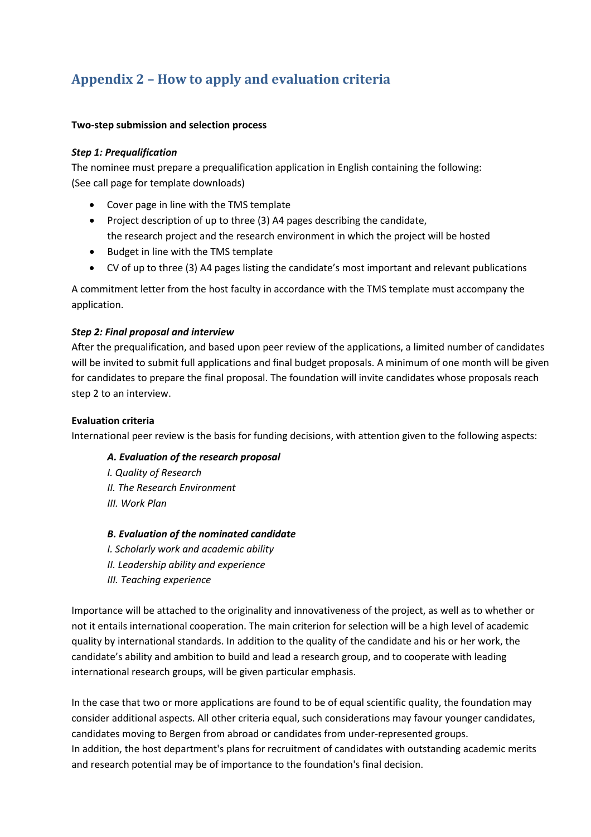# **Appendix 2 – How to apply and evaluation criteria**

#### **Two-step submission and selection process**

#### *Step 1: Prequalification*

The nominee must prepare a prequalification application in English containing the following: (See call page for template downloads)

- Cover page in line with the TMS template
- Project description of up to three (3) A4 pages describing the candidate, the research project and the research environment in which the project will be hosted
- Budget in line with the TMS template
- CV of up to three (3) A4 pages listing the candidate's most important and relevant publications

A commitment letter from the host faculty in accordance with the TMS template must accompany the application.

#### *Step 2: Final proposal and interview*

After the prequalification, and based upon peer review of the applications, a limited number of candidates will be invited to submit full applications and final budget proposals. A minimum of one month will be given for candidates to prepare the final proposal. The foundation will invite candidates whose proposals reach step 2 to an interview.

#### **Evaluation criteria**

International peer review is the basis for funding decisions, with attention given to the following aspects:

#### *A. Evaluation of the research proposal*

*I. Quality of Research II. The Research Environment III. Work Plan* 

#### *B. Evaluation of the nominated candidate*

*I. Scholarly work and academic ability II. Leadership ability and experience III. Teaching experience* 

Importance will be attached to the originality and innovativeness of the project, as well as to whether or not it entails international cooperation. The main criterion for selection will be a high level of academic quality by international standards. In addition to the quality of the candidate and his or her work, the candidate's ability and ambition to build and lead a research group, and to cooperate with leading international research groups, will be given particular emphasis.

In the case that two or more applications are found to be of equal scientific quality, the foundation may consider additional aspects. All other criteria equal, such considerations may favour younger candidates, candidates moving to Bergen from abroad or candidates from under-represented groups. In addition, the host department's plans for recruitment of candidates with outstanding academic merits and research potential may be of importance to the foundation's final decision.